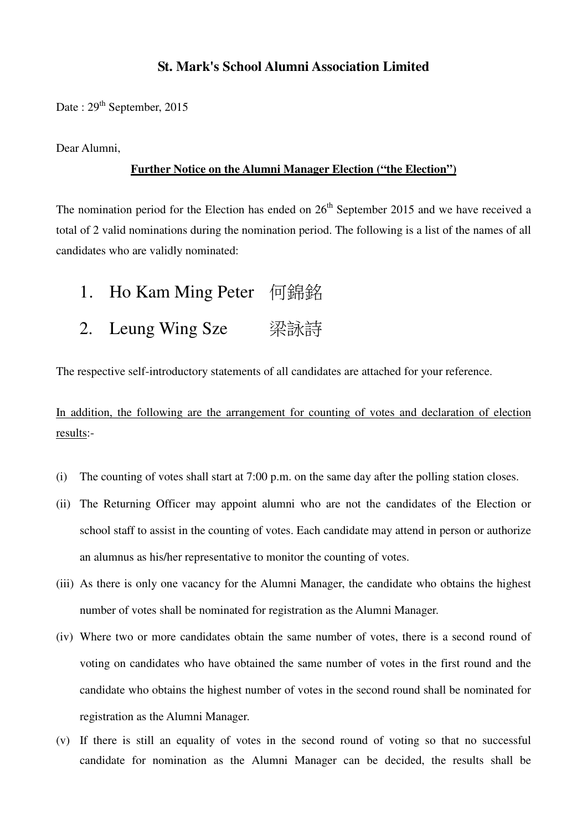## **St. Mark's School Alumni Association Limited**

Date :  $29<sup>th</sup>$  September, 2015

Dear Alumni,

## **Further Notice on the Alumni Manager Election ("the Election")**

The nomination period for the Election has ended on  $26<sup>th</sup>$  September 2015 and we have received a total of 2 valid nominations during the nomination period. The following is a list of the names of all candidates who are validly nominated:

- 1. Ho Kam Ming Peter 何錦銘
- 2. Leung Wing Sze 梁詠詩

The respective self-introductory statements of all candidates are attached for your reference.

In addition, the following are the arrangement for counting of votes and declaration of election results:-

- (i) The counting of votes shall start at 7:00 p.m. on the same day after the polling station closes.
- (ii) The Returning Officer may appoint alumni who are not the candidates of the Election or school staff to assist in the counting of votes. Each candidate may attend in person or authorize an alumnus as his/her representative to monitor the counting of votes.
- (iii) As there is only one vacancy for the Alumni Manager, the candidate who obtains the highest number of votes shall be nominated for registration as the Alumni Manager.
- (iv) Where two or more candidates obtain the same number of votes, there is a second round of voting on candidates who have obtained the same number of votes in the first round and the candidate who obtains the highest number of votes in the second round shall be nominated for registration as the Alumni Manager.
- (v) If there is still an equality of votes in the second round of voting so that no successful candidate for nomination as the Alumni Manager can be decided, the results shall be